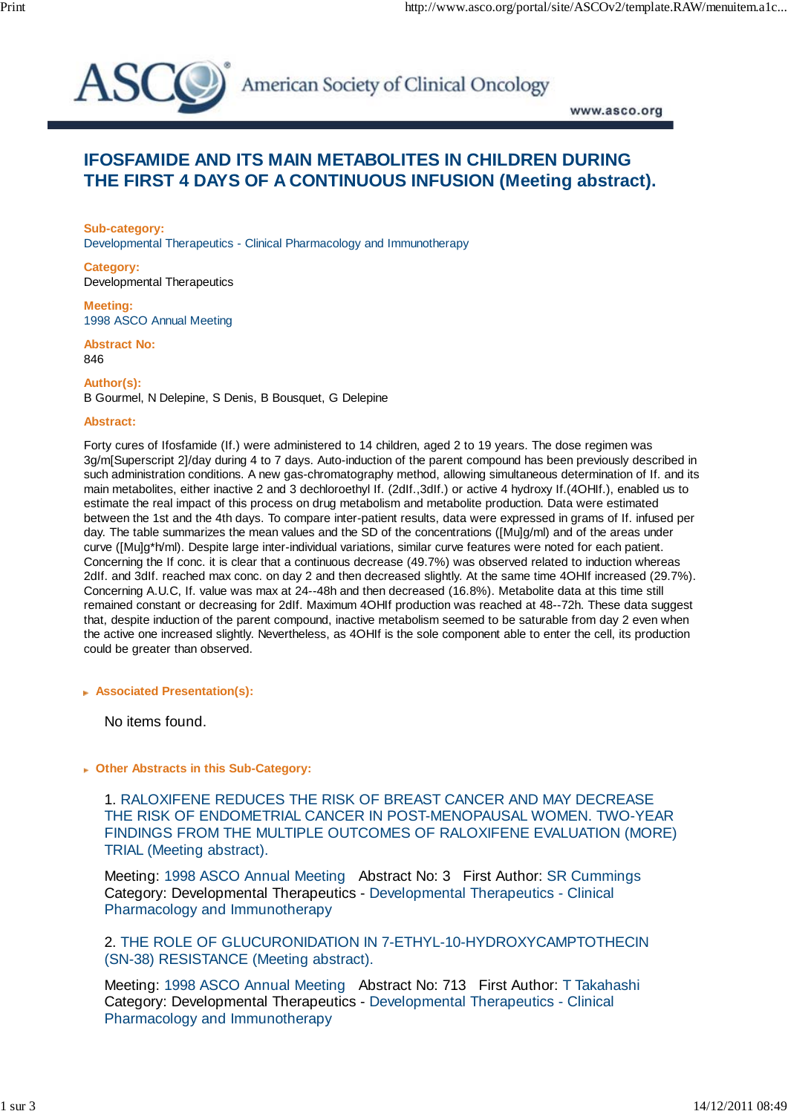

American Society of Clinical Oncology

www.asco.org

## **IFOSFAMIDE AND ITS MAIN METABOLITES IN CHILDREN DURING THE FIRST 4 DAYS OF A CONTINUOUS INFUSION (Meeting abstract).**

**Sub-category:** Developmental Therapeutics - Clinical Pharmacology and Immunotherapy

**Category:** Developmental Therapeutics

**Meeting:** 1998 ASCO Annual Meeting

**Abstract No:** 846

**Author(s):**

B Gourmel, N Delepine, S Denis, B Bousquet, G Delepine

## **Abstract:**

Forty cures of Ifosfamide (If.) were administered to 14 children, aged 2 to 19 years. The dose regimen was 3g/m[Superscript 2]/day during 4 to 7 days. Auto-induction of the parent compound has been previously described in such administration conditions. A new gas-chromatography method, allowing simultaneous determination of If. and its main metabolites, either inactive 2 and 3 dechloroethyl If. (2dIf.,3dIf.) or active 4 hydroxy If.(4OHIf.), enabled us to estimate the real impact of this process on drug metabolism and metabolite production. Data were estimated between the 1st and the 4th days. To compare inter-patient results, data were expressed in grams of If. infused per day. The table summarizes the mean values and the SD of the concentrations ([Mu]g/ml) and of the areas under curve ([Mu]g\*h/ml). Despite large inter-individual variations, similar curve features were noted for each patient. Concerning the If conc. it is clear that a continuous decrease (49.7%) was observed related to induction whereas 2dIf. and 3dIf. reached max conc. on day 2 and then decreased slightly. At the same time 4OHIf increased (29.7%). Concerning A.U.C, If. value was max at 24--48h and then decreased (16.8%). Metabolite data at this time still remained constant or decreasing for 2dIf. Maximum 4OHIf production was reached at 48--72h. These data suggest that, despite induction of the parent compound, inactive metabolism seemed to be saturable from day 2 even when the active one increased slightly. Nevertheless, as 4OHIf is the sole component able to enter the cell, its production could be greater than observed.

 **Associated Presentation(s):**

No items found.

 **Other Abstracts in this Sub-Category:**

 1. RALOXIFENE REDUCES THE RISK OF BREAST CANCER AND MAY DECREASE THE RISK OF ENDOMETRIAL CANCER IN POST-MENOPAUSAL WOMEN. TWO-YEAR FINDINGS FROM THE MULTIPLE OUTCOMES OF RALOXIFENE EVALUATION (MORE) TRIAL (Meeting abstract).

Meeting: 1998 ASCO Annual Meeting Abstract No: 3 First Author: SR Cummings Category: Developmental Therapeutics - Developmental Therapeutics - Clinical Pharmacology and Immunotherapy

 2. THE ROLE OF GLUCURONIDATION IN 7-ETHYL-10-HYDROXYCAMPTOTHECIN (SN-38) RESISTANCE (Meeting abstract).

Meeting: 1998 ASCO Annual Meeting Abstract No: 713 First Author: T Takahashi Category: Developmental Therapeutics - Developmental Therapeutics - Clinical Pharmacology and Immunotherapy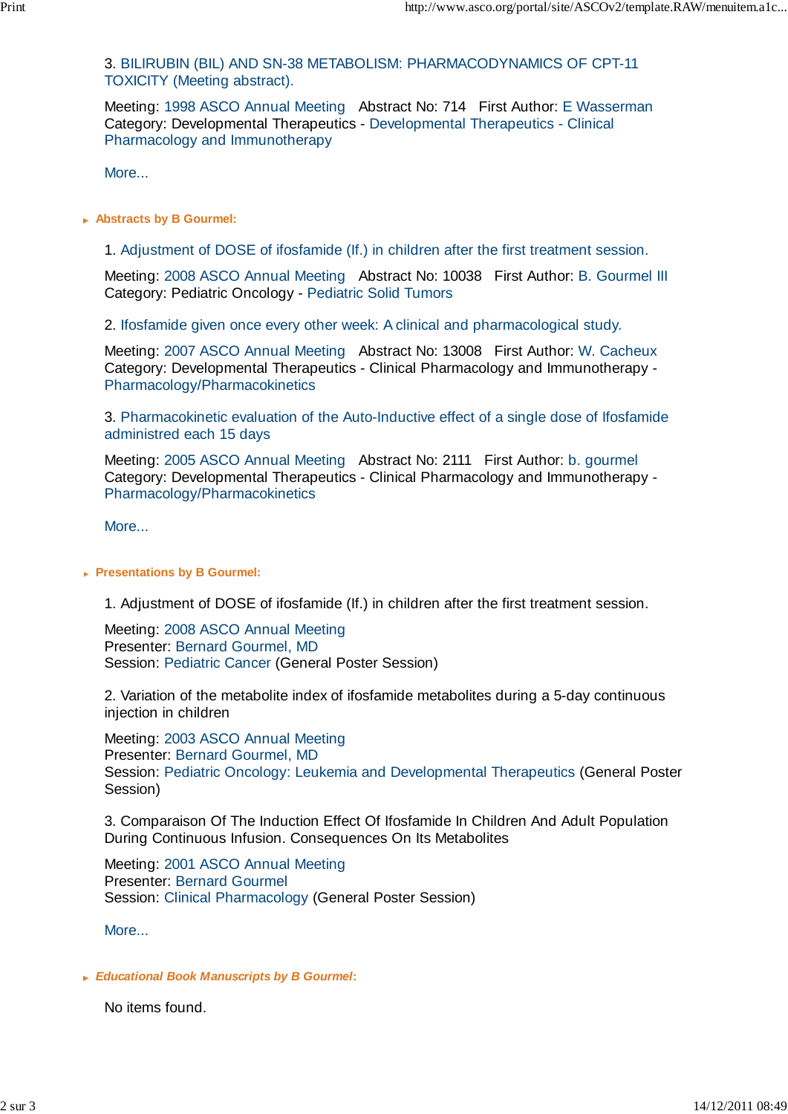3. BILIRUBIN (BIL) AND SN-38 METABOLISM: PHARMACODYNAMICS OF CPT-11 TOXICITY (Meeting abstract).

Meeting: 1998 ASCO Annual Meeting Abstract No: 714 First Author: E Wasserman Category: Developmental Therapeutics - Developmental Therapeutics - Clinical Pharmacology and Immunotherapy

More...

 **Abstracts by B Gourmel:**

1. Adjustment of DOSE of ifosfamide (If.) in children after the first treatment session.

Meeting: 2008 ASCO Annual Meeting Abstract No: 10038 First Author: B. Gourmel III Category: Pediatric Oncology - Pediatric Solid Tumors

2. Ifosfamide given once every other week: A clinical and pharmacological study.

Meeting: 2007 ASCO Annual Meeting Abstract No: 13008 First Author: W. Cacheux Category: Developmental Therapeutics - Clinical Pharmacology and Immunotherapy - Pharmacology/Pharmacokinetics

 3. Pharmacokinetic evaluation of the Auto-Inductive effect of a single dose of Ifosfamide administred each 15 days

Meeting: 2005 ASCO Annual Meeting Abstract No: 2111 First Author: b. gourmel Category: Developmental Therapeutics - Clinical Pharmacology and Immunotherapy - Pharmacology/Pharmacokinetics

More...

## **Presentations by B Gourmel:**

1. Adjustment of DOSE of ifosfamide (If.) in children after the first treatment session.

Meeting: 2008 ASCO Annual Meeting Presenter: Bernard Gourmel, MD Session: Pediatric Cancer (General Poster Session)

 2. Variation of the metabolite index of ifosfamide metabolites during a 5-day continuous injection in children

Meeting: 2003 ASCO Annual Meeting Presenter: Bernard Gourmel, MD Session: Pediatric Oncology: Leukemia and Developmental Therapeutics (General Poster Session)

 3. Comparaison Of The Induction Effect Of Ifosfamide In Children And Adult Population During Continuous Infusion. Consequences On Its Metabolites

Meeting: 2001 ASCO Annual Meeting Presenter: Bernard Gourmel Session: Clinical Pharmacology (General Poster Session)

More...

## *Educational Book Manuscripts by B Gourmel***:**

No items found.